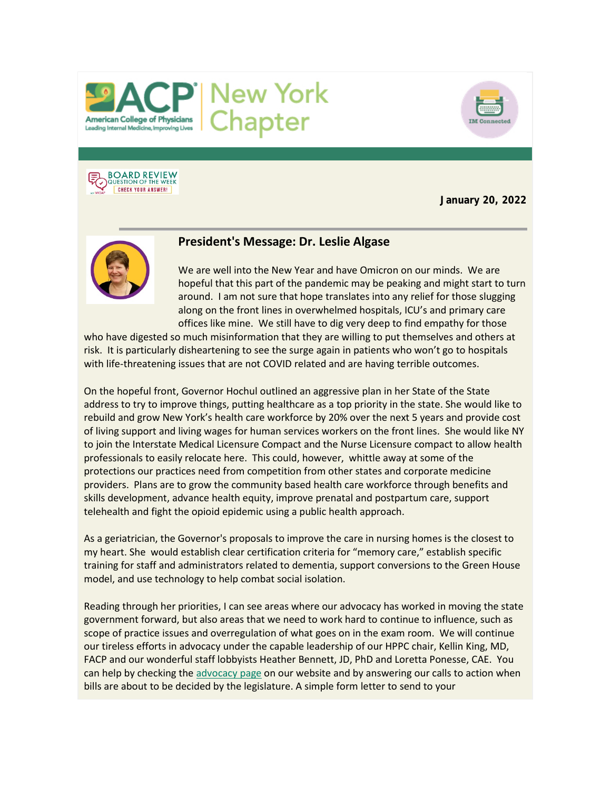



# **BOARD REVIEW**<br>QUESTION OF THE WEEK **CHECK YOUR ANSWER!**

**January 20, 2022**



# **President's Message: Dr. Leslie Algase**

We are well into the New Year and have Omicron on our minds. We are hopeful that this part of the pandemic may be peaking and might start to turn around. I am not sure that hope translates into any relief for those slugging along on the front lines in overwhelmed hospitals, ICU's and primary care offices like mine. We still have to dig very deep to find empathy for those

who have digested so much misinformation that they are willing to put themselves and others at risk. It is particularly disheartening to see the surge again in patients who won't go to hospitals with life-threatening issues that are not COVID related and are having terrible outcomes.

On the hopeful front, Governor Hochul outlined an aggressive plan in her State of the State address to try to improve things, putting healthcare as a top priority in the state. She would like to rebuild and grow New York's health care workforce by 20% over the next 5 years and provide cost of living support and living wages for human services workers on the front lines. She would like NY to join the Interstate Medical Licensure Compact and the Nurse Licensure compact to allow health professionals to easily relocate here. This could, however, whittle away at some of the protections our practices need from competition from other states and corporate medicine providers. Plans are to grow the community based health care workforce through benefits and skills development, advance health equity, improve prenatal and postpartum care, support telehealth and fight the opioid epidemic using a public health approach.

As a geriatrician, the Governor's proposals to improve the care in nursing homes is the closest to my heart. She would establish clear certification criteria for "memory care," establish specific training for staff and administrators related to dementia, support conversions to the Green House model, and use technology to help combat social isolation.

Reading through her priorities, I can see areas where our advocacy has worked in moving the state government forward, but also areas that we need to work hard to continue to influence, such as scope of practice issues and overregulation of what goes on in the exam room. We will continue our tireless efforts in advocacy under the capable leadership of our HPPC chair, Kellin King, MD, FACP and our wonderful staff lobbyists Heather Bennett, JD, PhD and Loretta Ponesse, CAE. You can help by checking th[e advocacy page](https://www.votervoice.net/BroadcastLinks/BD0ABnlCaMeC2yYiu4NX6Q) on our website and by answering our calls to action when bills are about to be decided by the legislature. A simple form letter to send to your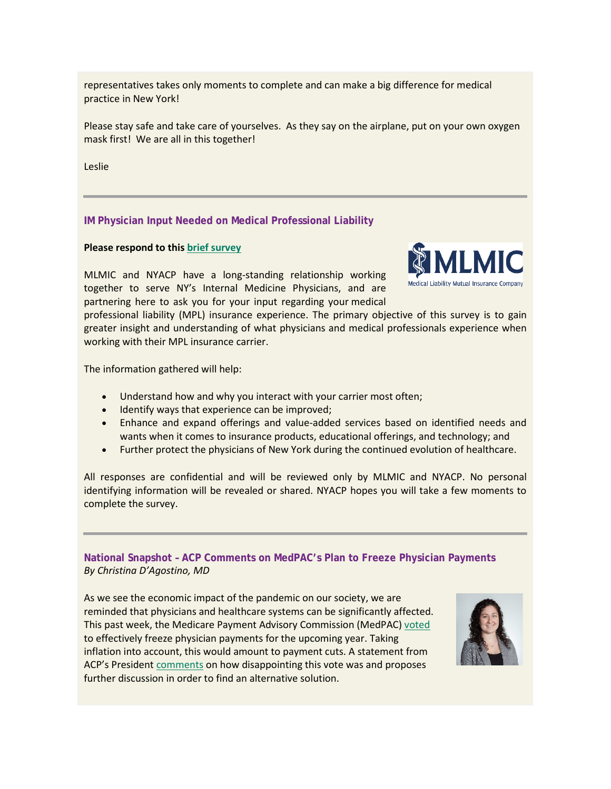representatives takes only moments to complete and can make a big difference for medical practice in New York!

Please stay safe and take care of yourselves. As they say on the airplane, put on your own oxygen mask first! We are all in this together!

Leslie

# **IM Physician Input Needed on Medical Professional Liability**

#### **Please respond to thi[s brief survey](https://www.votervoice.net/BroadcastLinks/Z9Bfo22dWbLz5Ias5SK2UA)**

MLMIC and NYACP have a long-standing relationship working together to serve NY's Internal Medicine Physicians, and are partnering here to ask you for your input regarding your medical



professional liability (MPL) insurance experience. The primary objective of this survey is to gain greater insight and understanding of what physicians and medical professionals experience when working with their MPL insurance carrier.

The information gathered will help:

- Understand how and why you interact with your carrier most often;
- Identify ways that experience can be improved;
- Enhance and expand offerings and value-added services based on identified needs and wants when it comes to insurance products, educational offerings, and technology; and
- Further protect the physicians of New York during the continued evolution of healthcare.

All responses are confidential and will be reviewed only by MLMIC and NYACP. No personal identifying information will be revealed or shared. NYACP hopes you will take a few moments to complete the survey.

**National Snapshot – ACP Comments on MedPAC's Plan to Freeze Physician Payments** *By Christina D'Agostino, MD*

As we see the economic impact of the pandemic on our society, we are reminded that physicians and healthcare systems can be significantly affected. This past week, the Medicare Payment Advisory Commission (MedPAC) [voted](https://www.votervoice.net/BroadcastLinks/6gjHxwEJJ6yEGdM-p8qmnQ) to effectively freeze physician payments for the upcoming year. Taking inflation into account, this would amount to payment cuts. A statement from ACP's Presiden[t comments](https://www.votervoice.net/BroadcastLinks/TTnHRItT26wUohURaHfQkg) on how disappointing this vote was and proposes further discussion in order to find an alternative solution.

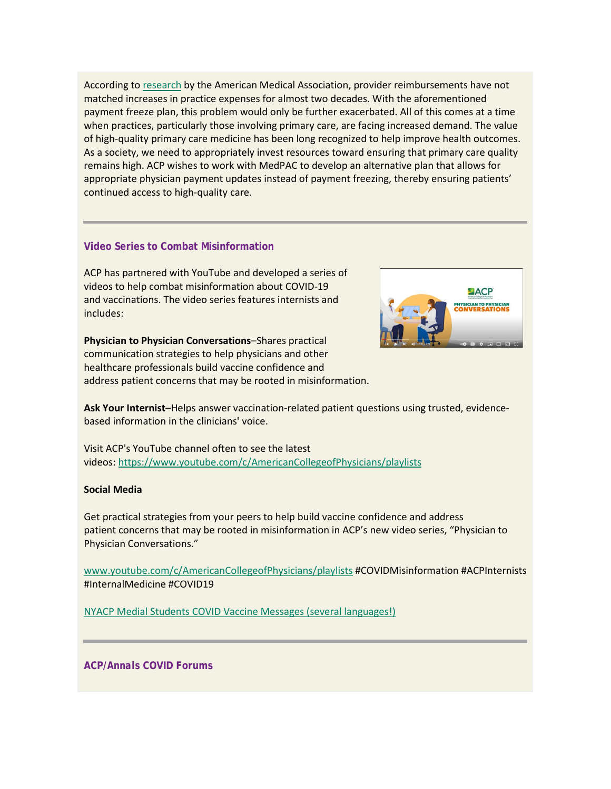According to [research](https://www.votervoice.net/BroadcastLinks/601Yy8BTUgbqb7h4tgbE7w) by the American Medical Association, provider reimbursements have not matched increases in practice expenses for almost two decades. With the aforementioned payment freeze plan, this problem would only be further exacerbated. All of this comes at a time when practices, particularly those involving primary care, are facing increased demand. The value of high-quality primary care medicine has been long recognized to help improve health outcomes. As a society, we need to appropriately invest resources toward ensuring that primary care quality remains high. ACP wishes to work with MedPAC to develop an alternative plan that allows for appropriate physician payment updates instead of payment freezing, thereby ensuring patients' continued access to high-quality care.

# **Video Series to Combat Misinformation**

ACP has partnered with YouTube and developed a series of videos to help combat misinformation about COVID-19 and vaccinations. The video series features internists and includes:

**Physician to Physician Conversations**–Shares practical communication strategies to help physicians and other healthcare professionals build vaccine confidence and address patient concerns that may be rooted in misinformation.



**Ask Your Internist**–Helps answer vaccination-related patient questions using trusted, evidencebased information in the clinicians' voice.

Visit ACP's YouTube channel often to see the latest videos: <https://www.youtube.com/c/AmericanCollegeofPhysicians/playlists>

#### **Social Media**

Get practical strategies from your peers to help build vaccine confidence and address patient concerns that may be rooted in misinformation in ACP's new video series, "Physician to Physician Conversations."

[www.youtube.com/c/AmericanCollegeofPhysicians/playlists](http://www.youtube.com/c/AmericanCollegeofPhysicians/playlists) #COVIDMisinformation #ACPInternists #InternalMedicine #COVID19

[NYACP Medial Students COVID Vaccine Messages \(several languages!\)](https://www.votervoice.net/BroadcastLinks/2yoJkD_h9feY6rZdibo8Dw)

**ACP/***Annals* **COVID Forums**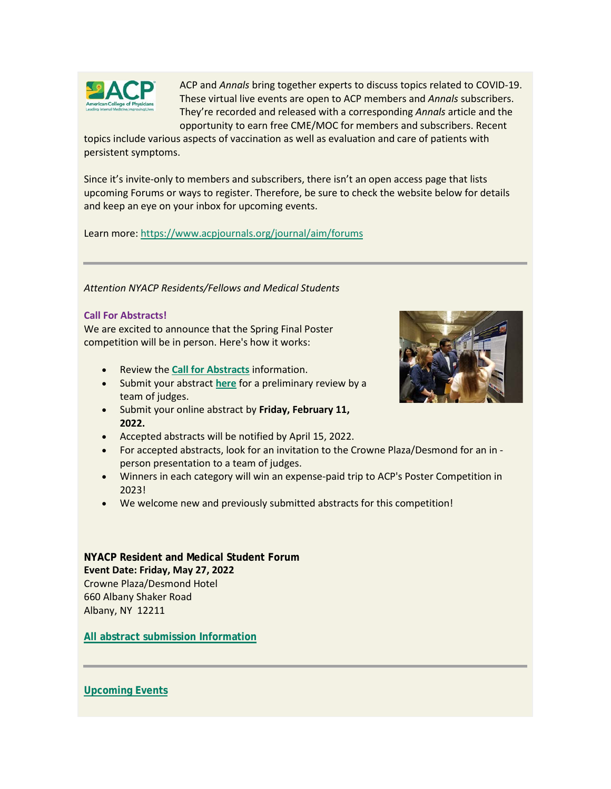

ACP and *Annals* bring together experts to discuss topics related to COVID-19. These virtual live events are open to ACP members and *Annals* subscribers. They're recorded and released with a corresponding *Annals* article and the opportunity to earn free CME/MOC for members and subscribers. Recent

topics include various aspects of vaccination as well as evaluation and care of patients with persistent symptoms.

Since it's invite-only to members and subscribers, there isn't an open access page that lists upcoming Forums or ways to register. Therefore, be sure to check the website below for details and keep an eye on your inbox for upcoming events.

Learn more: <https://www.acpjournals.org/journal/aim/forums>

*Attention NYACP Residents/Fellows and Medical Students*

### **Call For Abstracts!**

We are excited to announce that the Spring Final Poster competition will be in person. Here's how it works:

- Review the **[Call for Abstracts](https://www.votervoice.net/BroadcastLinks/qmWYar7MdTS3SW13I-0xRA)** information.
- Submit your abstract **[here](https://www.votervoice.net/BroadcastLinks/PRI192lDv3NAYRL5dq3yxw)** for a preliminary review by a team of judges.
- Submit your online abstract by **Friday, February 11, 2022.**
- Accepted abstracts will be notified by April 15, 2022.
- For accepted abstracts, look for an invitation to the Crowne Plaza/Desmond for an in person presentation to a team of judges.
- Winners in each category will win an expense-paid trip to ACP's Poster Competition in 2023!
- We welcome new and previously submitted abstracts for this competition!

# **NYACP Resident and Medical Student Forum Event Date: Friday, May 27, 2022** Crowne Plaza/Desmond Hotel 660 Albany Shaker Road Albany, NY 12211

**[All abstract submission Information](https://www.votervoice.net/BroadcastLinks/qmWYar7MdTS3SW13I-0xRA)**



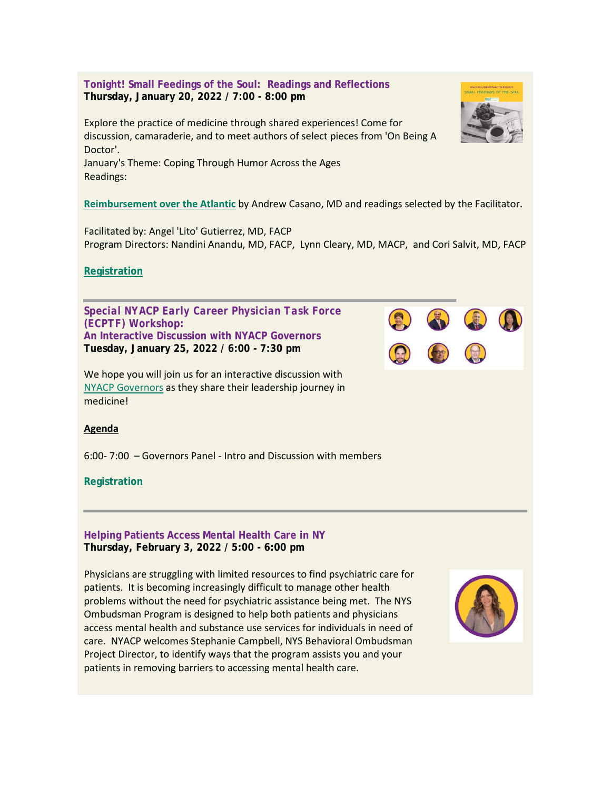**Tonight! Small Feedings of the Soul: Readings and Reflections Thursday, January 20, 2022 / 7:00 - 8:00 pm**

Explore the practice of medicine through shared experiences! Come for discussion, camaraderie, and to meet authors of select pieces from 'On Being A Doctor'.

January's Theme: Coping Through Humor Across the Ages Readings:

**[Reimbursement over the Atlantic](https://www.votervoice.net/BroadcastLinks/dZ0m0_fapQlScXFtZjkdVQ)** by Andrew Casano, MD and readings selected by the Facilitator.

Facilitated by: Angel 'Lito' Gutierrez, MD, FACP Program Directors: Nandini Anandu, MD, FACP, Lynn Cleary, MD, MACP, and Cori Salvit, MD, FACP

# **[Registration](https://www.votervoice.net/BroadcastLinks/bHUEYtNhOlGZLhEBnPHpMA)**

*Special NYACP Early Career Physician Task Force (ECPTF) Workshop:* **An Interactive Discussion with NYACP Governors Tuesday, January 25, 2022 / 6:00 - 7:30 pm**

We hope you will join us for an interactive discussion with [NYACP Governors](https://www.votervoice.net/BroadcastLinks/tbK2maFDuIBGYp_MEO6ajg) as they share their leadership journey in medicine!

# **Agenda**

6:00- 7:00 – Governors Panel - Intro and Discussion with members

# **Registration**

#### **Helping Patients Access Mental Health Care in NY Thursday, February 3, 2022 / 5:00 - 6:00 pm**

Physicians are struggling with limited resources to find psychiatric care for patients. It is becoming increasingly difficult to manage other health problems without the need for psychiatric assistance being met. The NYS Ombudsman Program is designed to help both patients and physicians access mental health and substance use services for individuals in need of care. NYACP welcomes Stephanie Campbell, NYS Behavioral Ombudsman Project Director, to identify ways that the program assists you and your patients in removing barriers to accessing mental health care.





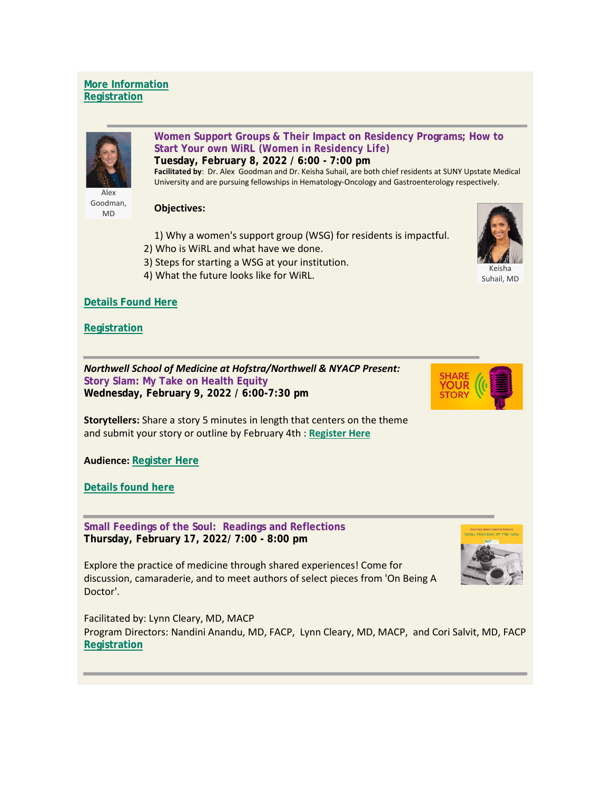# **[More Information](https://www.votervoice.net/BroadcastLinks/GRw_tzkZEeUwFBW9SAx-kQ) [Registration](https://www.votervoice.net/BroadcastLinks/93Zhwg2kndhciVWAhta71Q)**



MD

**Women Support Groups & Their Impact on Residency Programs; How to Start Your own WiRL** *(Women in Residency Life)* **Tuesday, February 8, 2022 / 6:00 - 7:00 pm**

**Facilitated by**: Dr. Alex Goodman and Dr. Keisha Suhail, are both chief residents at SUNY Upstate Medical University and are pursuing fellowships in Hematology-Oncology and Gastroenterology respectively.

#### **Objectives:**

- 1) Why a women's support group (WSG) for residents is impactful.
- 2) Who is WiRL and what have we done.
- 3) Steps for starting a WSG at your institution.
- 4) What the future looks like for WiRL.



Suhail, MD

# **[Details Found Here](https://www.votervoice.net/BroadcastLinks/GRw_tzkZEeUwFBW9SAx-kQ)**

**[Registration](https://www.votervoice.net/BroadcastLinks/exiPwPzOH3gIfCP9Sb0nUw)**

*Northwell School of Medicine at Hofstra/Northwell & NYACP Present:* **Story Slam: My Take on Health Equity Wednesday, February 9, 2022 / 6:00-7:30 pm**



**Storytellers:** Share a story 5 minutes in length that centers on the theme and submit your story or outline by February 4th : **[Register Here](https://www.votervoice.net/BroadcastLinks/OLr1kQCK1U2bKB1-_3EEUA)**

**Audience: [Register Here](https://www.votervoice.net/BroadcastLinks/OLr1kQCK1U2bKB1-_3EEUA)**

**[Details found here](https://www.votervoice.net/BroadcastLinks/I0CVlcfL3RVKP0ZA52p_UA)**

**Small Feedings of the Soul: Readings and Reflections Thursday, February 17, 2022/ 7:00 - 8:00 pm**

Explore the practice of medicine through shared experiences! Come for discussion, camaraderie, and to meet authors of select pieces from 'On Being A Doctor'.

Facilitated by: Lynn Cleary, MD, MACP Program Directors: Nandini Anandu, MD, FACP, Lynn Cleary, MD, MACP, and Cori Salvit, MD, FACP **[Registration](https://www.votervoice.net/BroadcastLinks/hDsh6x8AbFvvBad_1bNDGg)**